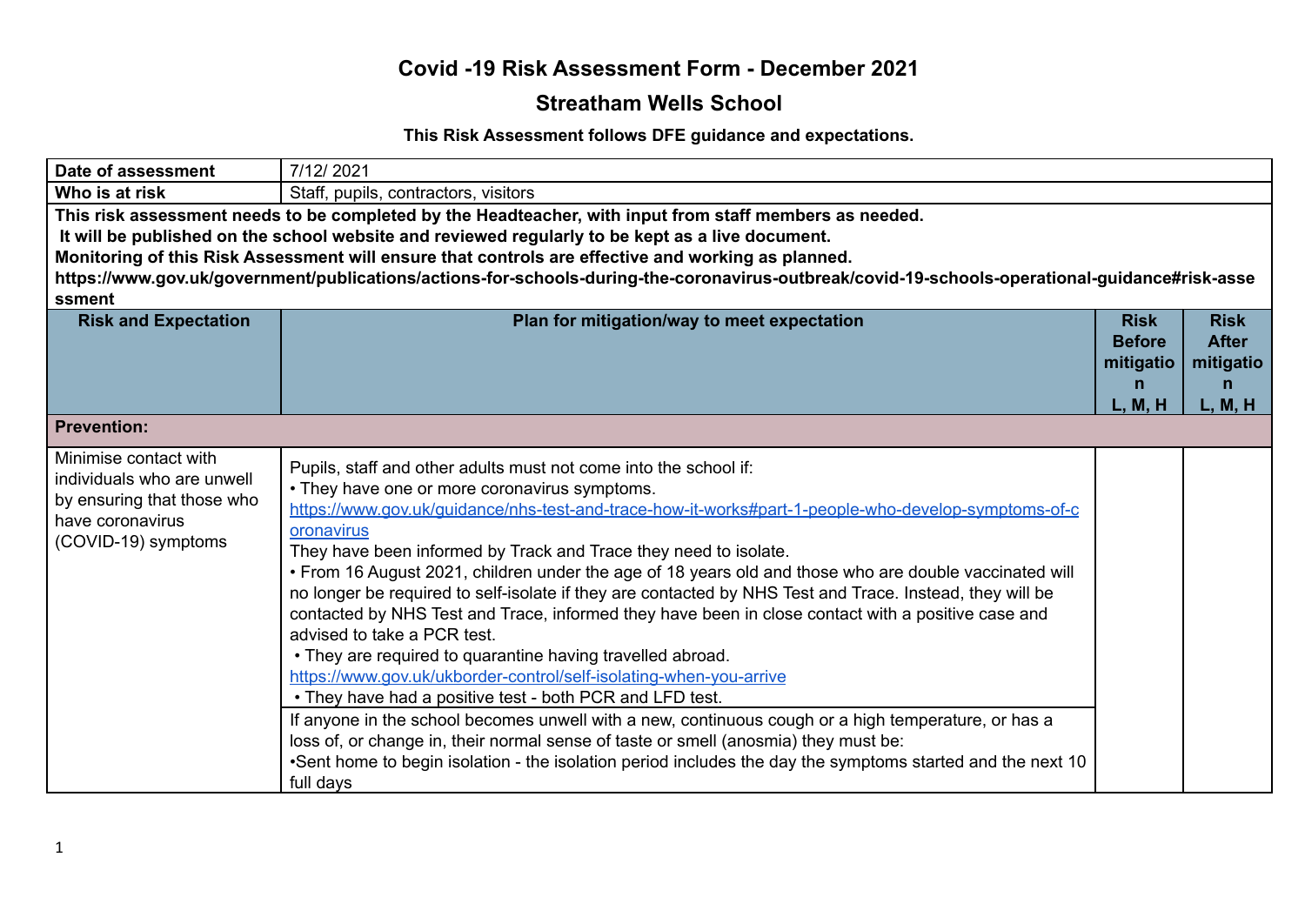#### **Streatham Wells School**

#### **This Risk Assessment follows DFE guidance and expectations.**

| Date of assessment                                                                                                           | 7/12/2021                                                                                                                                                                                                                                                                                                                                                                                                                                                                                                                                                                                                                                                                                                                                                                                                                                                                                                                                                                                                                                                                                                                                                                                      |                                                           |                                                          |
|------------------------------------------------------------------------------------------------------------------------------|------------------------------------------------------------------------------------------------------------------------------------------------------------------------------------------------------------------------------------------------------------------------------------------------------------------------------------------------------------------------------------------------------------------------------------------------------------------------------------------------------------------------------------------------------------------------------------------------------------------------------------------------------------------------------------------------------------------------------------------------------------------------------------------------------------------------------------------------------------------------------------------------------------------------------------------------------------------------------------------------------------------------------------------------------------------------------------------------------------------------------------------------------------------------------------------------|-----------------------------------------------------------|----------------------------------------------------------|
| Who is at risk                                                                                                               | Staff, pupils, contractors, visitors                                                                                                                                                                                                                                                                                                                                                                                                                                                                                                                                                                                                                                                                                                                                                                                                                                                                                                                                                                                                                                                                                                                                                           |                                                           |                                                          |
| ssment                                                                                                                       | This risk assessment needs to be completed by the Headteacher, with input from staff members as needed.<br>It will be published on the school website and reviewed regularly to be kept as a live document.<br>Monitoring of this Risk Assessment will ensure that controls are effective and working as planned.<br>https://www.gov.uk/government/publications/actions-for-schools-during-the-coronavirus-outbreak/covid-19-schools-operational-guidance#risk-asse                                                                                                                                                                                                                                                                                                                                                                                                                                                                                                                                                                                                                                                                                                                            |                                                           |                                                          |
| <b>Risk and Expectation</b>                                                                                                  | Plan for mitigation/way to meet expectation                                                                                                                                                                                                                                                                                                                                                                                                                                                                                                                                                                                                                                                                                                                                                                                                                                                                                                                                                                                                                                                                                                                                                    | <b>Risk</b><br><b>Before</b><br>mitigatio<br>n<br>L, M, H | <b>Risk</b><br><b>After</b><br>mitigatio<br>n<br>L, M, H |
| <b>Prevention:</b>                                                                                                           |                                                                                                                                                                                                                                                                                                                                                                                                                                                                                                                                                                                                                                                                                                                                                                                                                                                                                                                                                                                                                                                                                                                                                                                                |                                                           |                                                          |
| Minimise contact with<br>individuals who are unwell<br>by ensuring that those who<br>have coronavirus<br>(COVID-19) symptoms | Pupils, staff and other adults must not come into the school if:<br>• They have one or more coronavirus symptoms.<br>https://www.gov.uk/quidance/nhs-test-and-trace-how-it-works#part-1-people-who-develop-symptoms-of-c<br>oronavirus<br>They have been informed by Track and Trace they need to isolate.<br>. From 16 August 2021, children under the age of 18 years old and those who are double vaccinated will<br>no longer be required to self-isolate if they are contacted by NHS Test and Trace. Instead, they will be<br>contacted by NHS Test and Trace, informed they have been in close contact with a positive case and<br>advised to take a PCR test.<br>• They are required to quarantine having travelled abroad.<br>https://www.gov.uk/ukborder-control/self-isolating-when-you-arrive<br>• They have had a positive test - both PCR and LFD test.<br>If anyone in the school becomes unwell with a new, continuous cough or a high temperature, or has a<br>loss of, or change in, their normal sense of taste or smell (anosmia) they must be:<br>•Sent home to begin isolation - the isolation period includes the day the symptoms started and the next 10<br>full days |                                                           |                                                          |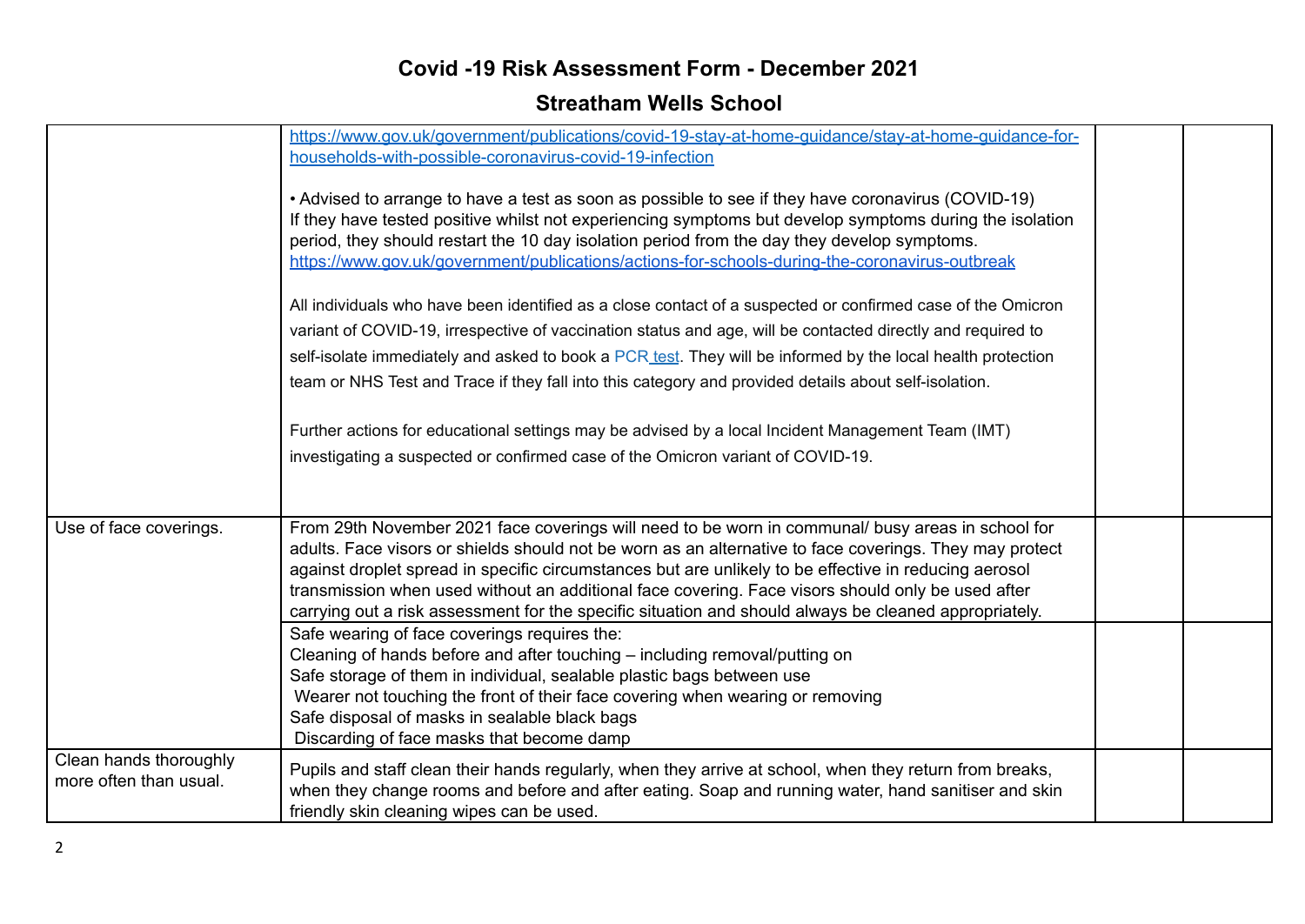|                                                  | https://www.gov.uk/government/publications/covid-19-stay-at-home-guidance/stay-at-home-guidance-for-<br>households-with-possible-coronavirus-covid-19-infection<br>• Advised to arrange to have a test as soon as possible to see if they have coronavirus (COVID-19)<br>If they have tested positive whilst not experiencing symptoms but develop symptoms during the isolation<br>period, they should restart the 10 day isolation period from the day they develop symptoms.<br>https://www.gov.uk/government/publications/actions-for-schools-during-the-coronavirus-outbreak<br>All individuals who have been identified as a close contact of a suspected or confirmed case of the Omicron<br>variant of COVID-19, irrespective of vaccination status and age, will be contacted directly and required to<br>self-isolate immediately and asked to book a PCR test. They will be informed by the local health protection<br>team or NHS Test and Trace if they fall into this category and provided details about self-isolation.<br>Further actions for educational settings may be advised by a local Incident Management Team (IMT)<br>investigating a suspected or confirmed case of the Omicron variant of COVID-19. |  |
|--------------------------------------------------|---------------------------------------------------------------------------------------------------------------------------------------------------------------------------------------------------------------------------------------------------------------------------------------------------------------------------------------------------------------------------------------------------------------------------------------------------------------------------------------------------------------------------------------------------------------------------------------------------------------------------------------------------------------------------------------------------------------------------------------------------------------------------------------------------------------------------------------------------------------------------------------------------------------------------------------------------------------------------------------------------------------------------------------------------------------------------------------------------------------------------------------------------------------------------------------------------------------------------------|--|
| Use of face coverings.                           | From 29th November 2021 face coverings will need to be worn in communal/ busy areas in school for<br>adults. Face visors or shields should not be worn as an alternative to face coverings. They may protect<br>against droplet spread in specific circumstances but are unlikely to be effective in reducing aerosol<br>transmission when used without an additional face covering. Face visors should only be used after<br>carrying out a risk assessment for the specific situation and should always be cleaned appropriately.<br>Safe wearing of face coverings requires the:<br>Cleaning of hands before and after touching – including removal/putting on<br>Safe storage of them in individual, sealable plastic bags between use<br>Wearer not touching the front of their face covering when wearing or removing<br>Safe disposal of masks in sealable black bags<br>Discarding of face masks that become damp                                                                                                                                                                                                                                                                                                       |  |
| Clean hands thoroughly<br>more often than usual. | Pupils and staff clean their hands regularly, when they arrive at school, when they return from breaks,<br>when they change rooms and before and after eating. Soap and running water, hand sanitiser and skin<br>friendly skin cleaning wipes can be used.                                                                                                                                                                                                                                                                                                                                                                                                                                                                                                                                                                                                                                                                                                                                                                                                                                                                                                                                                                     |  |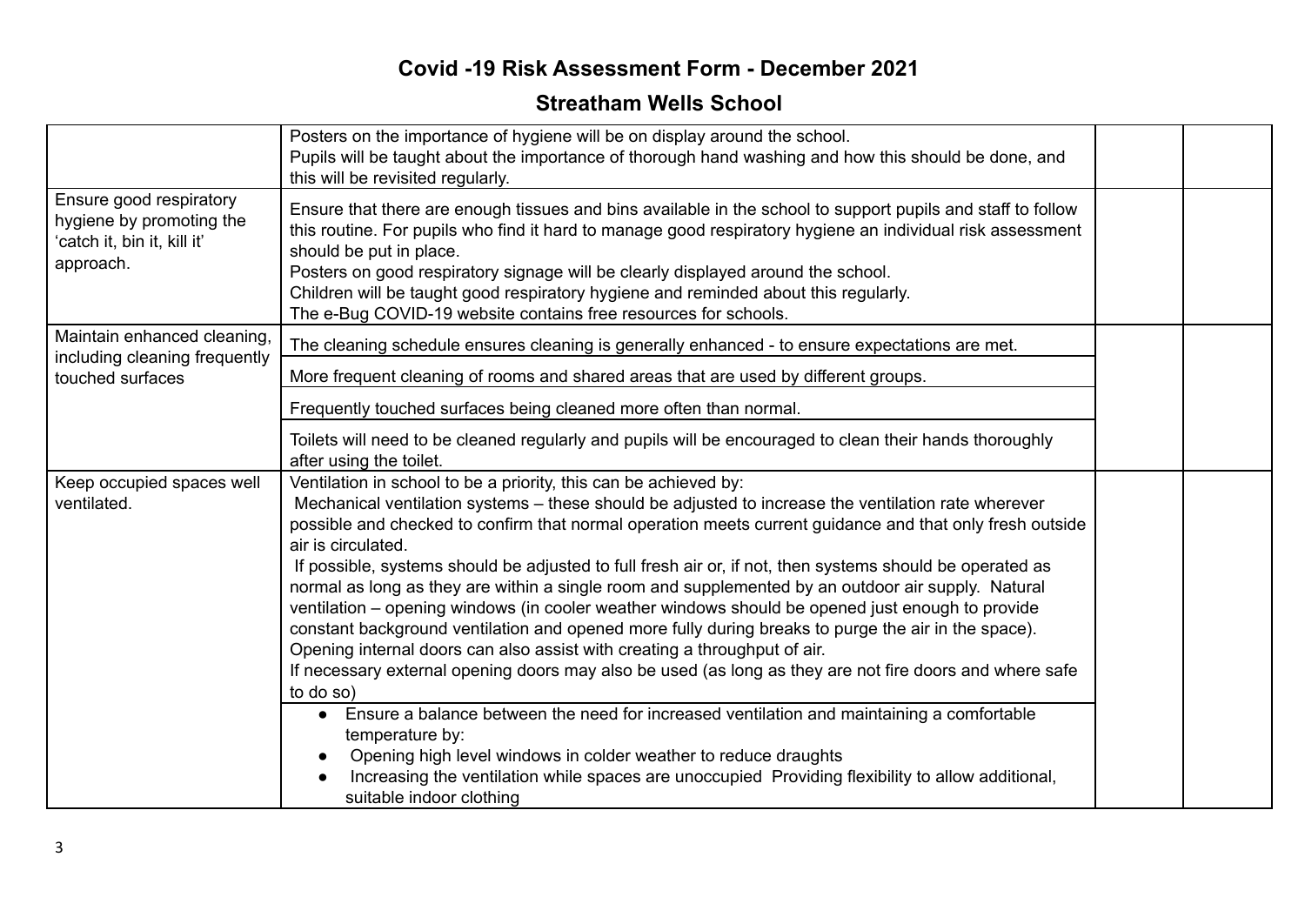|                                                                                                 | Posters on the importance of hygiene will be on display around the school.<br>Pupils will be taught about the importance of thorough hand washing and how this should be done, and<br>this will be revisited regularly.                                                                                                                                                                                                                                                                                                                                                                                                                                                                                                                                                                                                                                                                                                                     |  |
|-------------------------------------------------------------------------------------------------|---------------------------------------------------------------------------------------------------------------------------------------------------------------------------------------------------------------------------------------------------------------------------------------------------------------------------------------------------------------------------------------------------------------------------------------------------------------------------------------------------------------------------------------------------------------------------------------------------------------------------------------------------------------------------------------------------------------------------------------------------------------------------------------------------------------------------------------------------------------------------------------------------------------------------------------------|--|
| Ensure good respiratory<br>hygiene by promoting the<br>'catch it, bin it, kill it'<br>approach. | Ensure that there are enough tissues and bins available in the school to support pupils and staff to follow<br>this routine. For pupils who find it hard to manage good respiratory hygiene an individual risk assessment<br>should be put in place.<br>Posters on good respiratory signage will be clearly displayed around the school.<br>Children will be taught good respiratory hygiene and reminded about this regularly.<br>The e-Bug COVID-19 website contains free resources for schools.                                                                                                                                                                                                                                                                                                                                                                                                                                          |  |
| Maintain enhanced cleaning,<br>including cleaning frequently                                    | The cleaning schedule ensures cleaning is generally enhanced - to ensure expectations are met.                                                                                                                                                                                                                                                                                                                                                                                                                                                                                                                                                                                                                                                                                                                                                                                                                                              |  |
| touched surfaces                                                                                | More frequent cleaning of rooms and shared areas that are used by different groups.                                                                                                                                                                                                                                                                                                                                                                                                                                                                                                                                                                                                                                                                                                                                                                                                                                                         |  |
|                                                                                                 | Frequently touched surfaces being cleaned more often than normal.                                                                                                                                                                                                                                                                                                                                                                                                                                                                                                                                                                                                                                                                                                                                                                                                                                                                           |  |
|                                                                                                 | Toilets will need to be cleaned regularly and pupils will be encouraged to clean their hands thoroughly<br>after using the toilet.                                                                                                                                                                                                                                                                                                                                                                                                                                                                                                                                                                                                                                                                                                                                                                                                          |  |
| Keep occupied spaces well<br>ventilated.                                                        | Ventilation in school to be a priority, this can be achieved by:<br>Mechanical ventilation systems – these should be adjusted to increase the ventilation rate wherever<br>possible and checked to confirm that normal operation meets current guidance and that only fresh outside<br>air is circulated.<br>If possible, systems should be adjusted to full fresh air or, if not, then systems should be operated as<br>normal as long as they are within a single room and supplemented by an outdoor air supply. Natural<br>ventilation – opening windows (in cooler weather windows should be opened just enough to provide<br>constant background ventilation and opened more fully during breaks to purge the air in the space).<br>Opening internal doors can also assist with creating a throughput of air.<br>If necessary external opening doors may also be used (as long as they are not fire doors and where safe<br>to do so) |  |
|                                                                                                 | Ensure a balance between the need for increased ventilation and maintaining a comfortable<br>$\bullet$<br>temperature by:<br>Opening high level windows in colder weather to reduce draughts<br>Increasing the ventilation while spaces are unoccupied Providing flexibility to allow additional,                                                                                                                                                                                                                                                                                                                                                                                                                                                                                                                                                                                                                                           |  |
|                                                                                                 | suitable indoor clothing                                                                                                                                                                                                                                                                                                                                                                                                                                                                                                                                                                                                                                                                                                                                                                                                                                                                                                                    |  |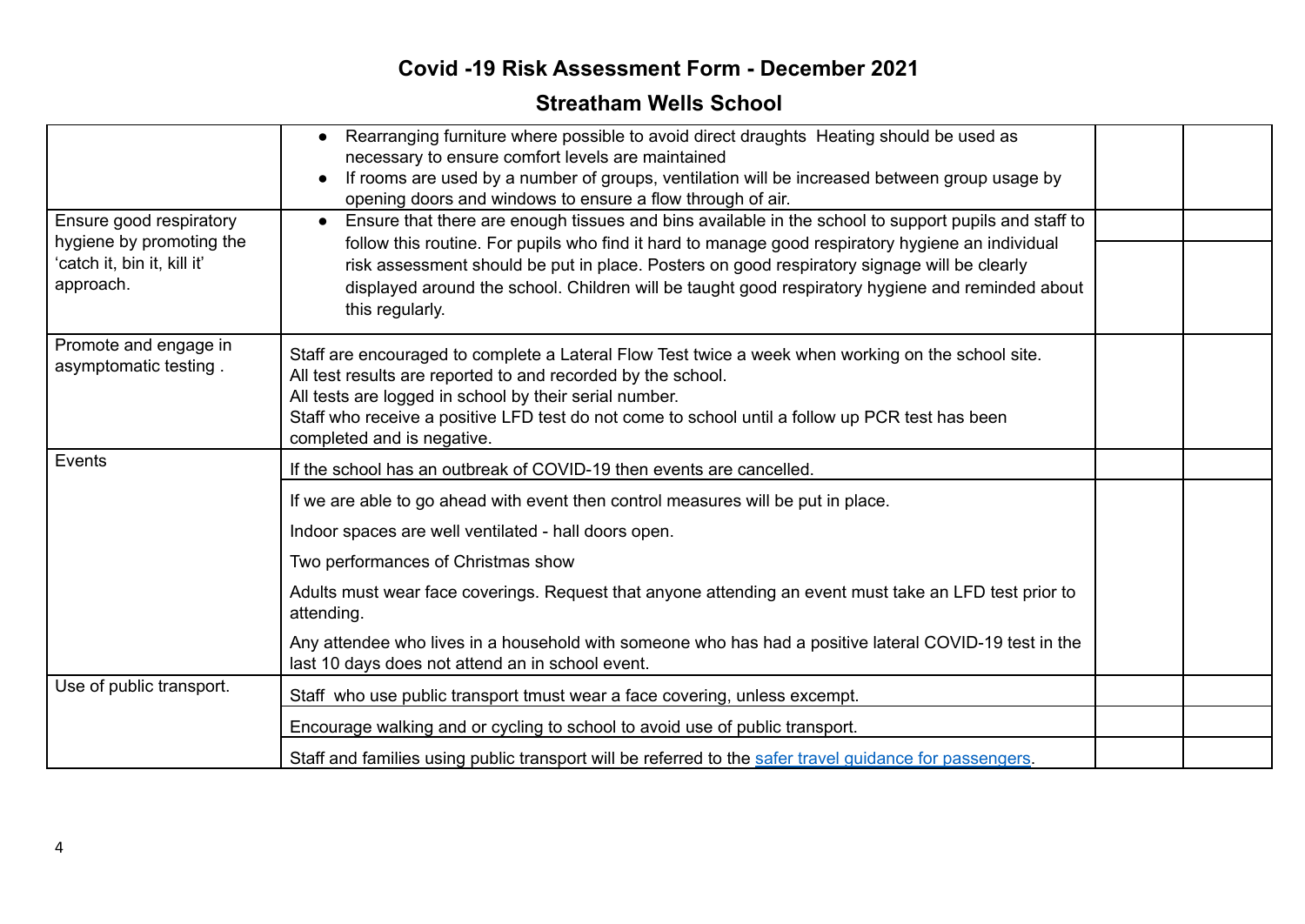| Ensure good respiratory<br>hygiene by promoting the<br>'catch it, bin it, kill it'<br>approach. | Rearranging furniture where possible to avoid direct draughts Heating should be used as<br>necessary to ensure comfort levels are maintained<br>If rooms are used by a number of groups, ventilation will be increased between group usage by<br>opening doors and windows to ensure a flow through of air.<br>Ensure that there are enough tissues and bins available in the school to support pupils and staff to<br>$\bullet$<br>follow this routine. For pupils who find it hard to manage good respiratory hygiene an individual<br>risk assessment should be put in place. Posters on good respiratory signage will be clearly<br>displayed around the school. Children will be taught good respiratory hygiene and reminded about<br>this regularly. |  |
|-------------------------------------------------------------------------------------------------|-------------------------------------------------------------------------------------------------------------------------------------------------------------------------------------------------------------------------------------------------------------------------------------------------------------------------------------------------------------------------------------------------------------------------------------------------------------------------------------------------------------------------------------------------------------------------------------------------------------------------------------------------------------------------------------------------------------------------------------------------------------|--|
| Promote and engage in<br>asymptomatic testing.                                                  | Staff are encouraged to complete a Lateral Flow Test twice a week when working on the school site.<br>All test results are reported to and recorded by the school.<br>All tests are logged in school by their serial number.<br>Staff who receive a positive LFD test do not come to school until a follow up PCR test has been<br>completed and is negative.                                                                                                                                                                                                                                                                                                                                                                                               |  |
| Events                                                                                          | If the school has an outbreak of COVID-19 then events are cancelled.                                                                                                                                                                                                                                                                                                                                                                                                                                                                                                                                                                                                                                                                                        |  |
|                                                                                                 | If we are able to go ahead with event then control measures will be put in place.<br>Indoor spaces are well ventilated - hall doors open.<br>Two performances of Christmas show                                                                                                                                                                                                                                                                                                                                                                                                                                                                                                                                                                             |  |
|                                                                                                 | Adults must wear face coverings. Request that anyone attending an event must take an LFD test prior to<br>attending.                                                                                                                                                                                                                                                                                                                                                                                                                                                                                                                                                                                                                                        |  |
|                                                                                                 | Any attendee who lives in a household with someone who has had a positive lateral COVID-19 test in the<br>last 10 days does not attend an in school event.                                                                                                                                                                                                                                                                                                                                                                                                                                                                                                                                                                                                  |  |
| Use of public transport.                                                                        | Staff who use public transport tmust wear a face covering, unless excempt.                                                                                                                                                                                                                                                                                                                                                                                                                                                                                                                                                                                                                                                                                  |  |
|                                                                                                 | Encourage walking and or cycling to school to avoid use of public transport.                                                                                                                                                                                                                                                                                                                                                                                                                                                                                                                                                                                                                                                                                |  |
|                                                                                                 | Staff and families using public transport will be referred to the safer travel guidance for passengers.                                                                                                                                                                                                                                                                                                                                                                                                                                                                                                                                                                                                                                                     |  |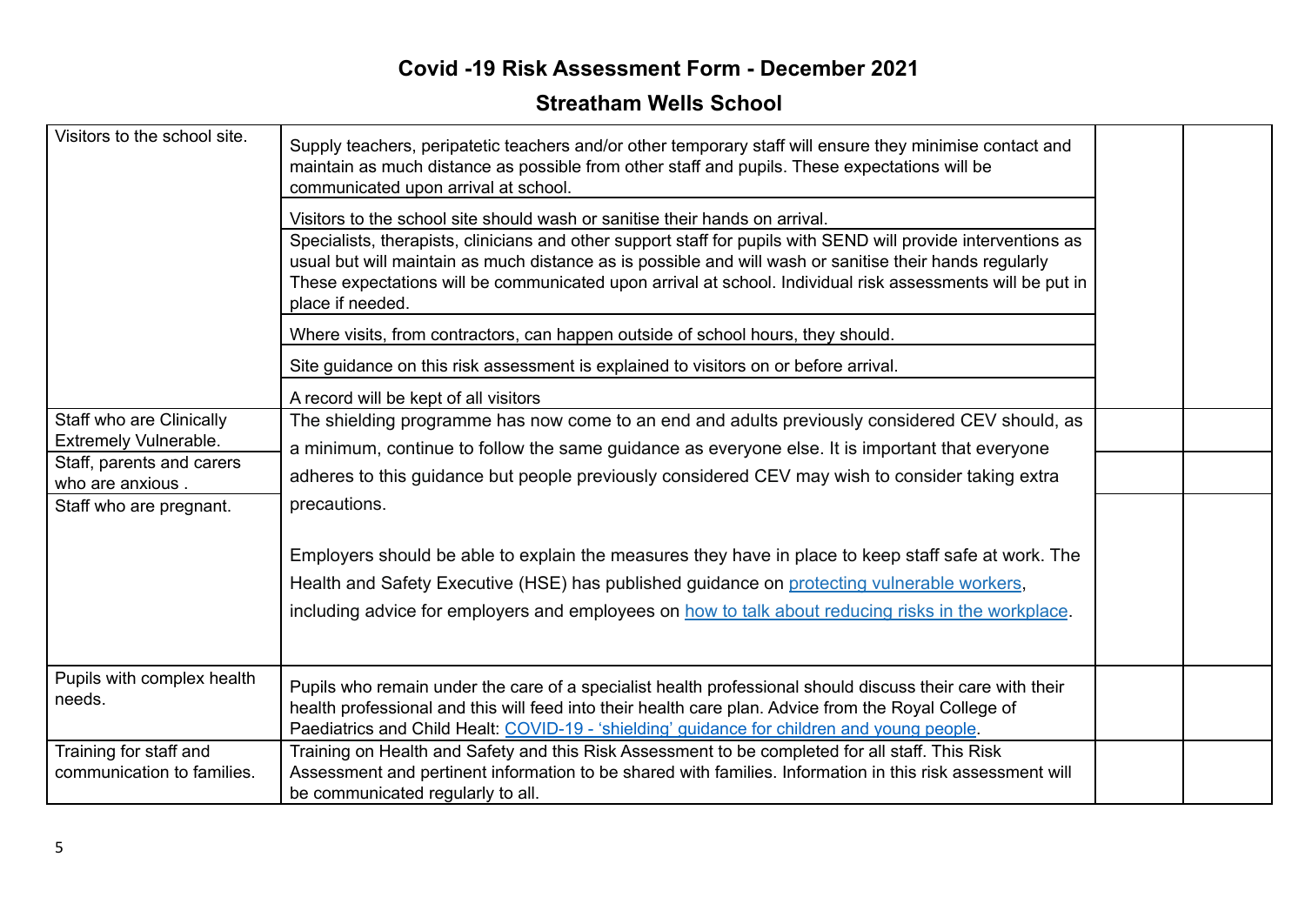| Visitors to the school site.<br>Staff who are Clinically<br>Extremely Vulnerable.<br>Staff, parents and carers<br>who are anxious.<br>Staff who are pregnant. | Supply teachers, peripatetic teachers and/or other temporary staff will ensure they minimise contact and<br>maintain as much distance as possible from other staff and pupils. These expectations will be<br>communicated upon arrival at school.<br>Visitors to the school site should wash or sanitise their hands on arrival.<br>Specialists, therapists, clinicians and other support staff for pupils with SEND will provide interventions as<br>usual but will maintain as much distance as is possible and will wash or sanitise their hands regularly<br>These expectations will be communicated upon arrival at school. Individual risk assessments will be put in<br>place if needed.<br>Where visits, from contractors, can happen outside of school hours, they should.<br>Site guidance on this risk assessment is explained to visitors on or before arrival.<br>A record will be kept of all visitors<br>The shielding programme has now come to an end and adults previously considered CEV should, as<br>a minimum, continue to follow the same guidance as everyone else. It is important that everyone<br>adheres to this guidance but people previously considered CEV may wish to consider taking extra<br>precautions.<br>Employers should be able to explain the measures they have in place to keep staff safe at work. The<br>Health and Safety Executive (HSE) has published guidance on protecting vulnerable workers,<br>including advice for employers and employees on how to talk about reducing risks in the workplace. |  |
|---------------------------------------------------------------------------------------------------------------------------------------------------------------|---------------------------------------------------------------------------------------------------------------------------------------------------------------------------------------------------------------------------------------------------------------------------------------------------------------------------------------------------------------------------------------------------------------------------------------------------------------------------------------------------------------------------------------------------------------------------------------------------------------------------------------------------------------------------------------------------------------------------------------------------------------------------------------------------------------------------------------------------------------------------------------------------------------------------------------------------------------------------------------------------------------------------------------------------------------------------------------------------------------------------------------------------------------------------------------------------------------------------------------------------------------------------------------------------------------------------------------------------------------------------------------------------------------------------------------------------------------------------------------------------------------------------------------------------------|--|
| Pupils with complex health<br>needs.                                                                                                                          | Pupils who remain under the care of a specialist health professional should discuss their care with their<br>health professional and this will feed into their health care plan. Advice from the Royal College of<br>Paediatrics and Child Healt: COVID-19 - 'shielding' guidance for children and young people.                                                                                                                                                                                                                                                                                                                                                                                                                                                                                                                                                                                                                                                                                                                                                                                                                                                                                                                                                                                                                                                                                                                                                                                                                                        |  |
| Training for staff and<br>communication to families.                                                                                                          | Training on Health and Safety and this Risk Assessment to be completed for all staff. This Risk<br>Assessment and pertinent information to be shared with families. Information in this risk assessment will<br>be communicated regularly to all.                                                                                                                                                                                                                                                                                                                                                                                                                                                                                                                                                                                                                                                                                                                                                                                                                                                                                                                                                                                                                                                                                                                                                                                                                                                                                                       |  |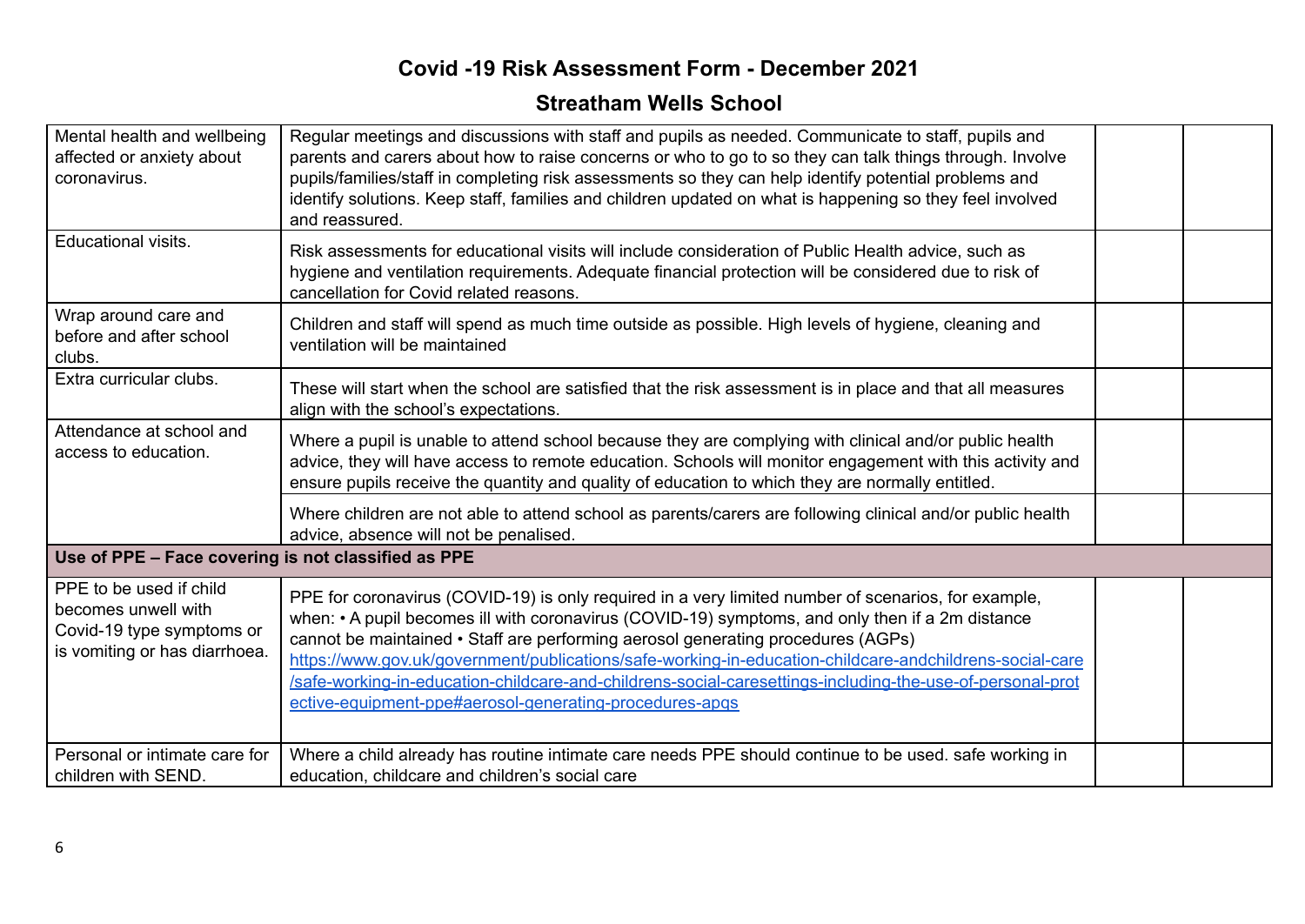| Mental health and wellbeing<br>affected or anxiety about<br>coronavirus.                                     | Regular meetings and discussions with staff and pupils as needed. Communicate to staff, pupils and<br>parents and carers about how to raise concerns or who to go to so they can talk things through. Involve<br>pupils/families/staff in completing risk assessments so they can help identify potential problems and<br>identify solutions. Keep staff, families and children updated on what is happening so they feel involved<br>and reassured.                                                                                                                           |  |
|--------------------------------------------------------------------------------------------------------------|--------------------------------------------------------------------------------------------------------------------------------------------------------------------------------------------------------------------------------------------------------------------------------------------------------------------------------------------------------------------------------------------------------------------------------------------------------------------------------------------------------------------------------------------------------------------------------|--|
| Educational visits.                                                                                          | Risk assessments for educational visits will include consideration of Public Health advice, such as<br>hygiene and ventilation requirements. Adequate financial protection will be considered due to risk of<br>cancellation for Covid related reasons.                                                                                                                                                                                                                                                                                                                        |  |
| Wrap around care and<br>before and after school<br>clubs.                                                    | Children and staff will spend as much time outside as possible. High levels of hygiene, cleaning and<br>ventilation will be maintained                                                                                                                                                                                                                                                                                                                                                                                                                                         |  |
| Extra curricular clubs.                                                                                      | These will start when the school are satisfied that the risk assessment is in place and that all measures<br>align with the school's expectations.                                                                                                                                                                                                                                                                                                                                                                                                                             |  |
| Attendance at school and<br>access to education.                                                             | Where a pupil is unable to attend school because they are complying with clinical and/or public health<br>advice, they will have access to remote education. Schools will monitor engagement with this activity and<br>ensure pupils receive the quantity and quality of education to which they are normally entitled.                                                                                                                                                                                                                                                        |  |
|                                                                                                              | Where children are not able to attend school as parents/carers are following clinical and/or public health<br>advice, absence will not be penalised.                                                                                                                                                                                                                                                                                                                                                                                                                           |  |
| Use of PPE - Face covering is not classified as PPE                                                          |                                                                                                                                                                                                                                                                                                                                                                                                                                                                                                                                                                                |  |
| PPE to be used if child<br>becomes unwell with<br>Covid-19 type symptoms or<br>is vomiting or has diarrhoea. | PPE for coronavirus (COVID-19) is only required in a very limited number of scenarios, for example,<br>when: • A pupil becomes ill with coronavirus (COVID-19) symptoms, and only then if a 2m distance<br>cannot be maintained • Staff are performing aerosol generating procedures (AGPs)<br>https://www.gov.uk/government/publications/safe-working-in-education-childcare-andchildrens-social-care<br>/safe-working-in-education-childcare-and-childrens-social-caresettings-including-the-use-of-personal-prot<br>ective-equipment-ppe#aerosol-generating-procedures-apqs |  |
| Personal or intimate care for<br>children with SEND.                                                         | Where a child already has routine intimate care needs PPE should continue to be used. safe working in<br>education, childcare and children's social care                                                                                                                                                                                                                                                                                                                                                                                                                       |  |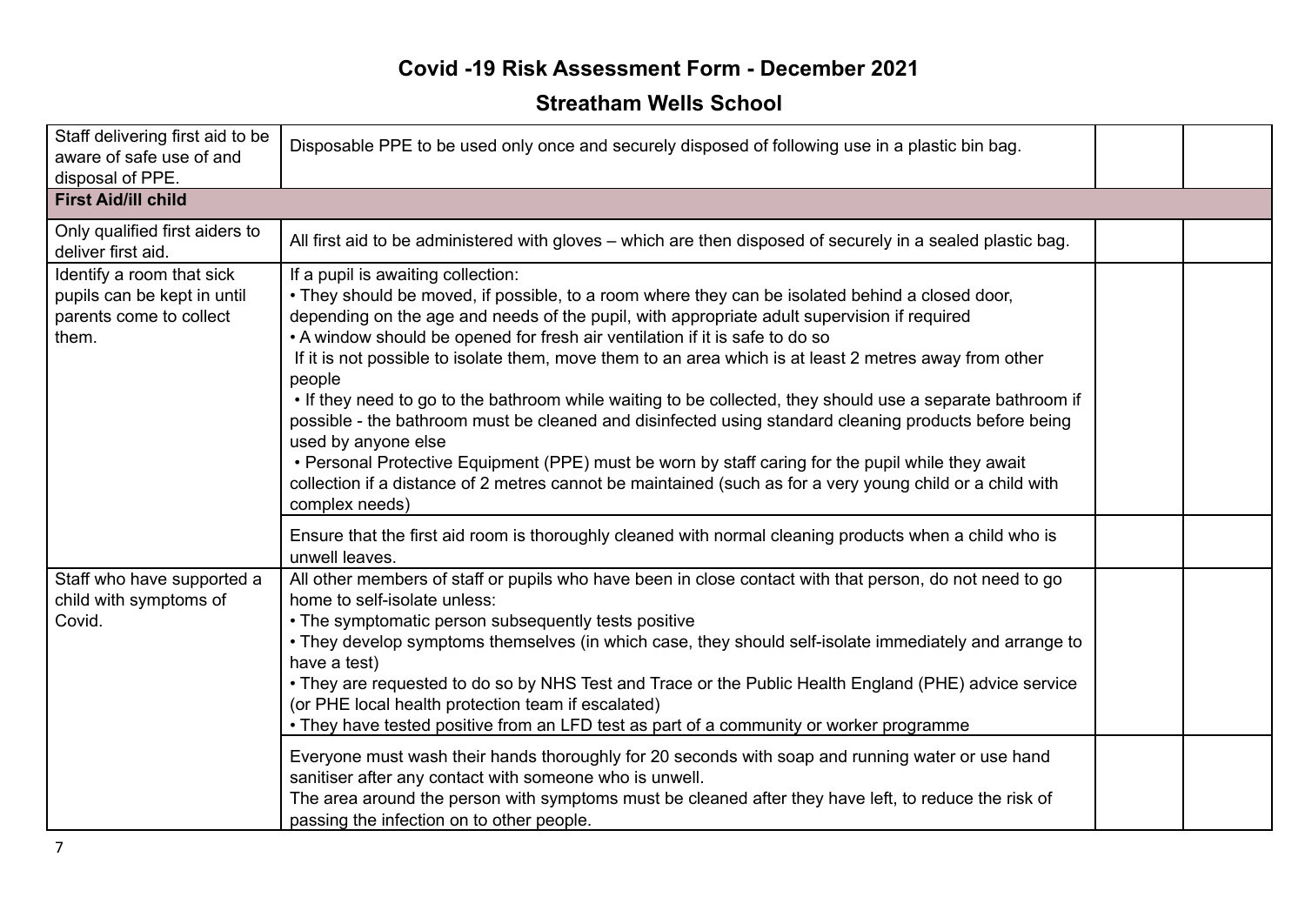| Staff delivering first aid to be<br>aware of safe use of and<br>disposal of PPE.             | Disposable PPE to be used only once and securely disposed of following use in a plastic bin bag.                                                                                                                                                                                                                                                                                                                                                                                                                                                                                                                                                                                                                                                                                                                                                                                                                           |  |
|----------------------------------------------------------------------------------------------|----------------------------------------------------------------------------------------------------------------------------------------------------------------------------------------------------------------------------------------------------------------------------------------------------------------------------------------------------------------------------------------------------------------------------------------------------------------------------------------------------------------------------------------------------------------------------------------------------------------------------------------------------------------------------------------------------------------------------------------------------------------------------------------------------------------------------------------------------------------------------------------------------------------------------|--|
| <b>First Aid/ill child</b>                                                                   |                                                                                                                                                                                                                                                                                                                                                                                                                                                                                                                                                                                                                                                                                                                                                                                                                                                                                                                            |  |
| Only qualified first aiders to<br>deliver first aid.                                         | All first aid to be administered with gloves – which are then disposed of securely in a sealed plastic bag.                                                                                                                                                                                                                                                                                                                                                                                                                                                                                                                                                                                                                                                                                                                                                                                                                |  |
| Identify a room that sick<br>pupils can be kept in until<br>parents come to collect<br>them. | If a pupil is awaiting collection:<br>• They should be moved, if possible, to a room where they can be isolated behind a closed door,<br>depending on the age and needs of the pupil, with appropriate adult supervision if required<br>• A window should be opened for fresh air ventilation if it is safe to do so<br>If it is not possible to isolate them, move them to an area which is at least 2 metres away from other<br>people<br>. If they need to go to the bathroom while waiting to be collected, they should use a separate bathroom if<br>possible - the bathroom must be cleaned and disinfected using standard cleaning products before being<br>used by anyone else<br>• Personal Protective Equipment (PPE) must be worn by staff caring for the pupil while they await<br>collection if a distance of 2 metres cannot be maintained (such as for a very young child or a child with<br>complex needs) |  |
|                                                                                              | Ensure that the first aid room is thoroughly cleaned with normal cleaning products when a child who is<br>unwell leaves.                                                                                                                                                                                                                                                                                                                                                                                                                                                                                                                                                                                                                                                                                                                                                                                                   |  |
| Staff who have supported a<br>child with symptoms of<br>Covid.                               | All other members of staff or pupils who have been in close contact with that person, do not need to go<br>home to self-isolate unless:<br>• The symptomatic person subsequently tests positive<br>• They develop symptoms themselves (in which case, they should self-isolate immediately and arrange to<br>have a test)<br>• They are requested to do so by NHS Test and Trace or the Public Health England (PHE) advice service<br>(or PHE local health protection team if escalated)<br>. They have tested positive from an LFD test as part of a community or worker programme                                                                                                                                                                                                                                                                                                                                        |  |
|                                                                                              | Everyone must wash their hands thoroughly for 20 seconds with soap and running water or use hand<br>sanitiser after any contact with someone who is unwell.<br>The area around the person with symptoms must be cleaned after they have left, to reduce the risk of<br>passing the infection on to other people.                                                                                                                                                                                                                                                                                                                                                                                                                                                                                                                                                                                                           |  |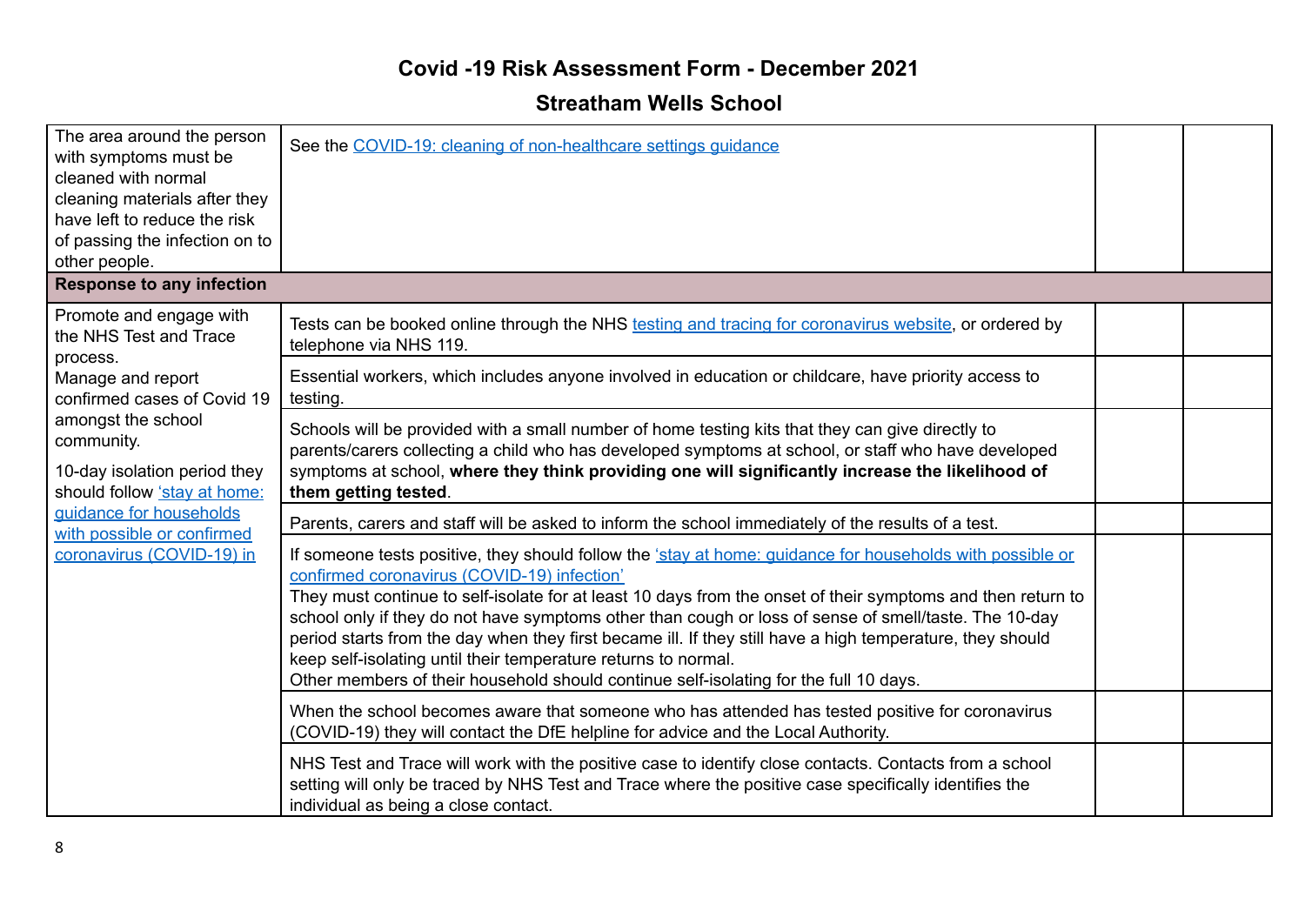| The area around the person<br>with symptoms must be<br>cleaned with normal<br>cleaning materials after they<br>have left to reduce the risk<br>of passing the infection on to<br>other people. | See the COVID-19: cleaning of non-healthcare settings quidance                                                                                                                                                                                                                                                                                                                                                                                                                                                                                                                                                                                           |  |
|------------------------------------------------------------------------------------------------------------------------------------------------------------------------------------------------|----------------------------------------------------------------------------------------------------------------------------------------------------------------------------------------------------------------------------------------------------------------------------------------------------------------------------------------------------------------------------------------------------------------------------------------------------------------------------------------------------------------------------------------------------------------------------------------------------------------------------------------------------------|--|
| <b>Response to any infection</b>                                                                                                                                                               |                                                                                                                                                                                                                                                                                                                                                                                                                                                                                                                                                                                                                                                          |  |
| Promote and engage with<br>the NHS Test and Trace                                                                                                                                              | Tests can be booked online through the NHS testing and tracing for coronavirus website, or ordered by<br>telephone via NHS 119.                                                                                                                                                                                                                                                                                                                                                                                                                                                                                                                          |  |
| process.<br>Manage and report<br>confirmed cases of Covid 19                                                                                                                                   | Essential workers, which includes anyone involved in education or childcare, have priority access to<br>testing.                                                                                                                                                                                                                                                                                                                                                                                                                                                                                                                                         |  |
| amongst the school<br>community.<br>10-day isolation period they<br>should follow 'stay at home:                                                                                               | Schools will be provided with a small number of home testing kits that they can give directly to<br>parents/carers collecting a child who has developed symptoms at school, or staff who have developed<br>symptoms at school, where they think providing one will significantly increase the likelihood of<br>them getting tested.                                                                                                                                                                                                                                                                                                                      |  |
| guidance for households<br>with possible or confirmed                                                                                                                                          | Parents, carers and staff will be asked to inform the school immediately of the results of a test.                                                                                                                                                                                                                                                                                                                                                                                                                                                                                                                                                       |  |
| coronavirus (COVID-19) in                                                                                                                                                                      | If someone tests positive, they should follow the 'stay at home: guidance for households with possible or<br>confirmed coronavirus (COVID-19) infection'<br>They must continue to self-isolate for at least 10 days from the onset of their symptoms and then return to<br>school only if they do not have symptoms other than cough or loss of sense of smell/taste. The 10-day<br>period starts from the day when they first became ill. If they still have a high temperature, they should<br>keep self-isolating until their temperature returns to normal.<br>Other members of their household should continue self-isolating for the full 10 days. |  |
|                                                                                                                                                                                                | When the school becomes aware that someone who has attended has tested positive for coronavirus<br>(COVID-19) they will contact the DfE helpline for advice and the Local Authority.                                                                                                                                                                                                                                                                                                                                                                                                                                                                     |  |
|                                                                                                                                                                                                | NHS Test and Trace will work with the positive case to identify close contacts. Contacts from a school<br>setting will only be traced by NHS Test and Trace where the positive case specifically identifies the<br>individual as being a close contact.                                                                                                                                                                                                                                                                                                                                                                                                  |  |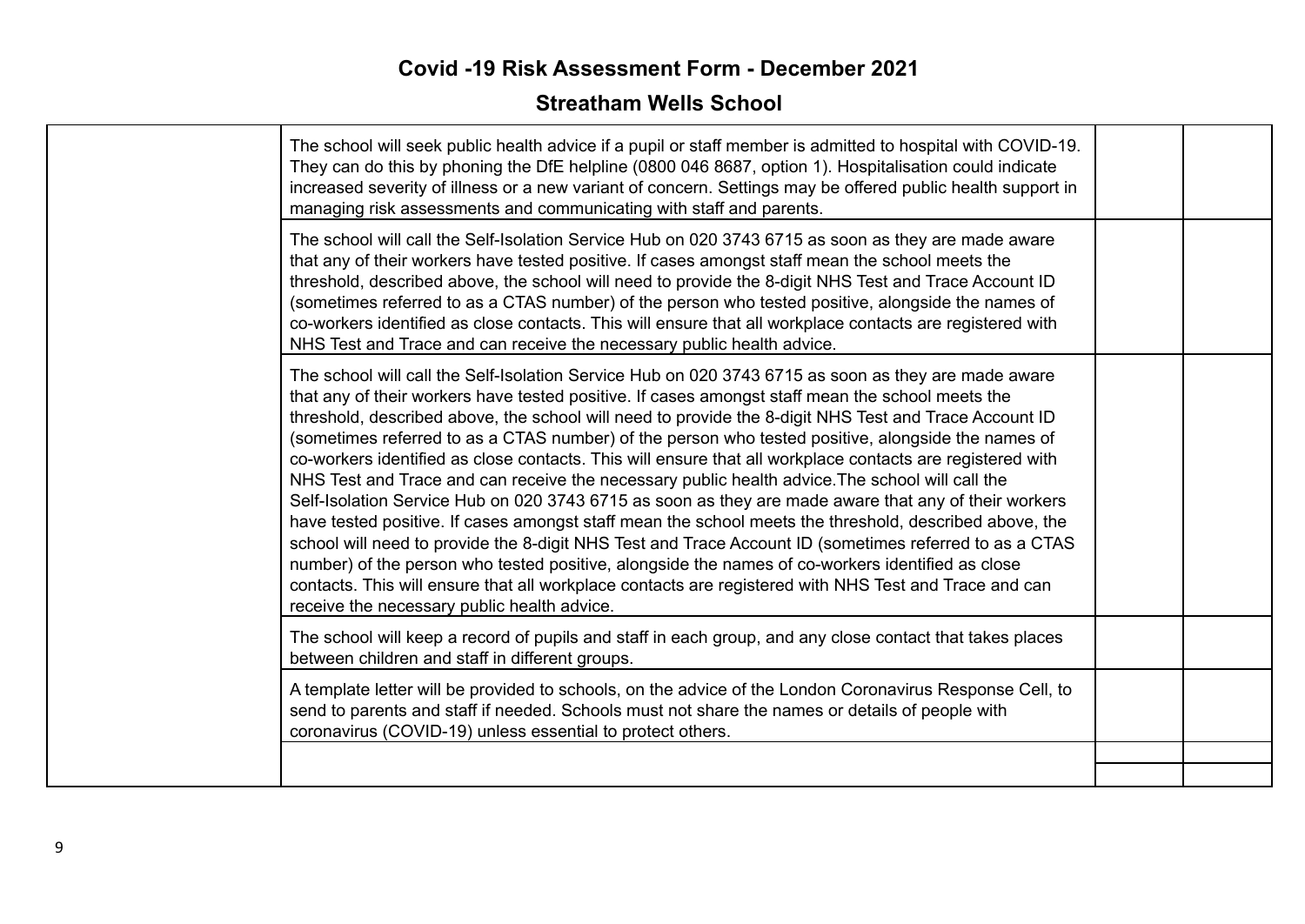| The school will seek public health advice if a pupil or staff member is admitted to hospital with COVID-19.<br>They can do this by phoning the DfE helpline (0800 046 8687, option 1). Hospitalisation could indicate<br>increased severity of illness or a new variant of concern. Settings may be offered public health support in<br>managing risk assessments and communicating with staff and parents.                                                                                                                                                                                                                                                                                                                                                                                                                                                                                                                                                                                                                                                                                                                                                                                                                    |  |
|--------------------------------------------------------------------------------------------------------------------------------------------------------------------------------------------------------------------------------------------------------------------------------------------------------------------------------------------------------------------------------------------------------------------------------------------------------------------------------------------------------------------------------------------------------------------------------------------------------------------------------------------------------------------------------------------------------------------------------------------------------------------------------------------------------------------------------------------------------------------------------------------------------------------------------------------------------------------------------------------------------------------------------------------------------------------------------------------------------------------------------------------------------------------------------------------------------------------------------|--|
| The school will call the Self-Isolation Service Hub on 020 3743 6715 as soon as they are made aware<br>that any of their workers have tested positive. If cases amongst staff mean the school meets the<br>threshold, described above, the school will need to provide the 8-digit NHS Test and Trace Account ID<br>(sometimes referred to as a CTAS number) of the person who tested positive, alongside the names of<br>co-workers identified as close contacts. This will ensure that all workplace contacts are registered with<br>NHS Test and Trace and can receive the necessary public health advice.                                                                                                                                                                                                                                                                                                                                                                                                                                                                                                                                                                                                                  |  |
| The school will call the Self-Isolation Service Hub on 020 3743 6715 as soon as they are made aware<br>that any of their workers have tested positive. If cases amongst staff mean the school meets the<br>threshold, described above, the school will need to provide the 8-digit NHS Test and Trace Account ID<br>(sometimes referred to as a CTAS number) of the person who tested positive, alongside the names of<br>co-workers identified as close contacts. This will ensure that all workplace contacts are registered with<br>NHS Test and Trace and can receive the necessary public health advice. The school will call the<br>Self-Isolation Service Hub on 020 3743 6715 as soon as they are made aware that any of their workers<br>have tested positive. If cases amongst staff mean the school meets the threshold, described above, the<br>school will need to provide the 8-digit NHS Test and Trace Account ID (sometimes referred to as a CTAS<br>number) of the person who tested positive, alongside the names of co-workers identified as close<br>contacts. This will ensure that all workplace contacts are registered with NHS Test and Trace and can<br>receive the necessary public health advice. |  |
| The school will keep a record of pupils and staff in each group, and any close contact that takes places<br>between children and staff in different groups.                                                                                                                                                                                                                                                                                                                                                                                                                                                                                                                                                                                                                                                                                                                                                                                                                                                                                                                                                                                                                                                                    |  |
| A template letter will be provided to schools, on the advice of the London Coronavirus Response Cell, to<br>send to parents and staff if needed. Schools must not share the names or details of people with<br>coronavirus (COVID-19) unless essential to protect others.                                                                                                                                                                                                                                                                                                                                                                                                                                                                                                                                                                                                                                                                                                                                                                                                                                                                                                                                                      |  |
|                                                                                                                                                                                                                                                                                                                                                                                                                                                                                                                                                                                                                                                                                                                                                                                                                                                                                                                                                                                                                                                                                                                                                                                                                                |  |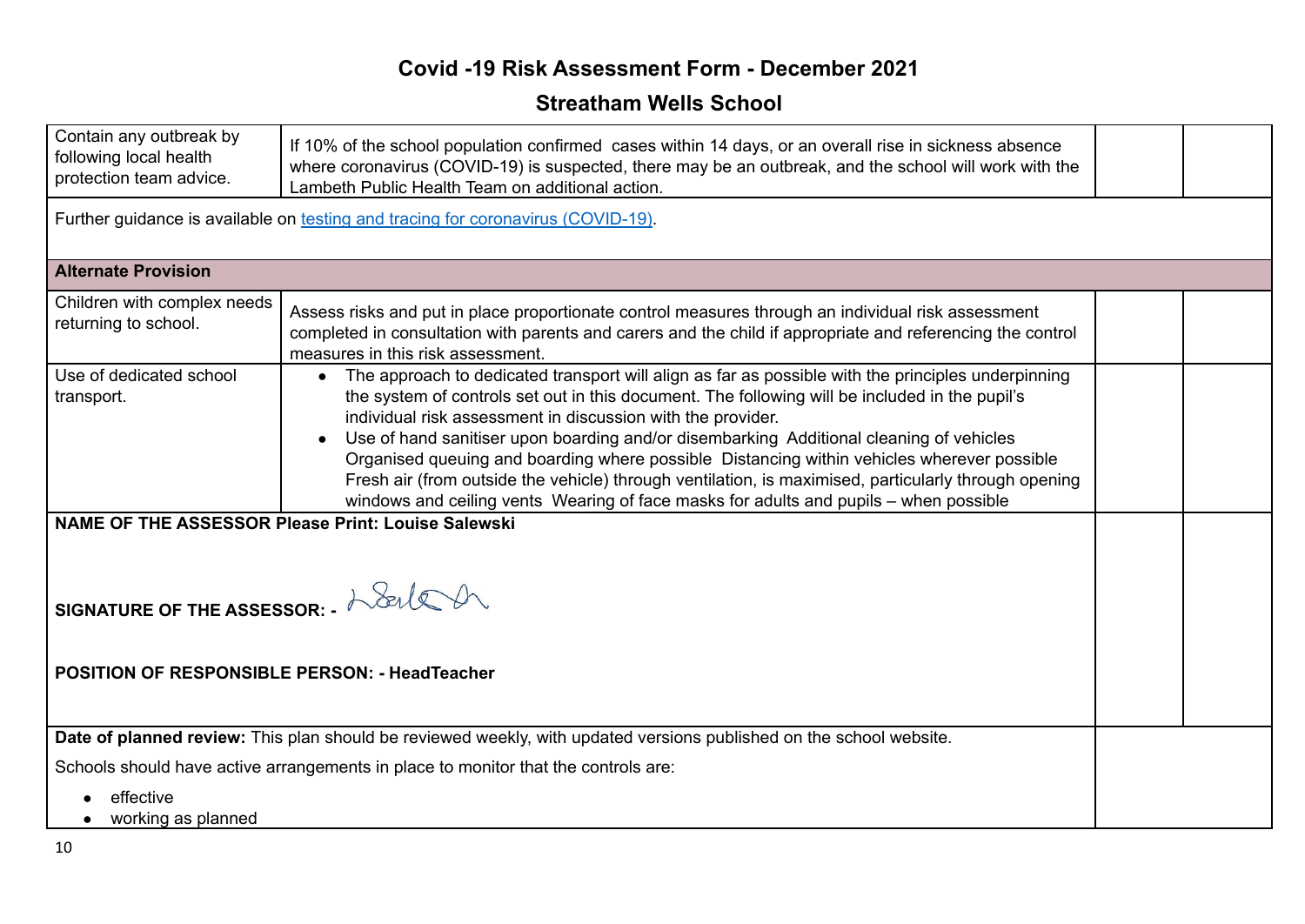| Contain any outbreak by<br>following local health<br>protection team advice.                                                                                                                              | If 10% of the school population confirmed cases within 14 days, or an overall rise in sickness absence<br>where coronavirus (COVID-19) is suspected, there may be an outbreak, and the school will work with the<br>Lambeth Public Health Team on additional action.                                                                                                                                                                                                                                                                                                                                                                                            |  |
|-----------------------------------------------------------------------------------------------------------------------------------------------------------------------------------------------------------|-----------------------------------------------------------------------------------------------------------------------------------------------------------------------------------------------------------------------------------------------------------------------------------------------------------------------------------------------------------------------------------------------------------------------------------------------------------------------------------------------------------------------------------------------------------------------------------------------------------------------------------------------------------------|--|
|                                                                                                                                                                                                           | Further guidance is available on testing and tracing for coronavirus (COVID-19).                                                                                                                                                                                                                                                                                                                                                                                                                                                                                                                                                                                |  |
| <b>Alternate Provision</b>                                                                                                                                                                                |                                                                                                                                                                                                                                                                                                                                                                                                                                                                                                                                                                                                                                                                 |  |
| Children with complex needs<br>returning to school.                                                                                                                                                       | Assess risks and put in place proportionate control measures through an individual risk assessment<br>completed in consultation with parents and carers and the child if appropriate and referencing the control<br>measures in this risk assessment.                                                                                                                                                                                                                                                                                                                                                                                                           |  |
| Use of dedicated school<br>transport.                                                                                                                                                                     | • The approach to dedicated transport will align as far as possible with the principles underpinning<br>the system of controls set out in this document. The following will be included in the pupil's<br>individual risk assessment in discussion with the provider.<br>Use of hand sanitiser upon boarding and/or disembarking Additional cleaning of vehicles<br>Organised queuing and boarding where possible Distancing within vehicles wherever possible<br>Fresh air (from outside the vehicle) through ventilation, is maximised, particularly through opening<br>windows and ceiling vents Wearing of face masks for adults and pupils - when possible |  |
| NAME OF THE ASSESSOR Please Print: Louise Salewski<br>SIGNATURE OF THE ASSESSOR: $-\lambda$ Seller on<br><b>POSITION OF RESPONSIBLE PERSON: - HeadTeacher</b>                                             |                                                                                                                                                                                                                                                                                                                                                                                                                                                                                                                                                                                                                                                                 |  |
| Date of planned review: This plan should be reviewed weekly, with updated versions published on the school website.<br>Schools should have active arrangements in place to monitor that the controls are: |                                                                                                                                                                                                                                                                                                                                                                                                                                                                                                                                                                                                                                                                 |  |
| effective<br>working as planned                                                                                                                                                                           |                                                                                                                                                                                                                                                                                                                                                                                                                                                                                                                                                                                                                                                                 |  |